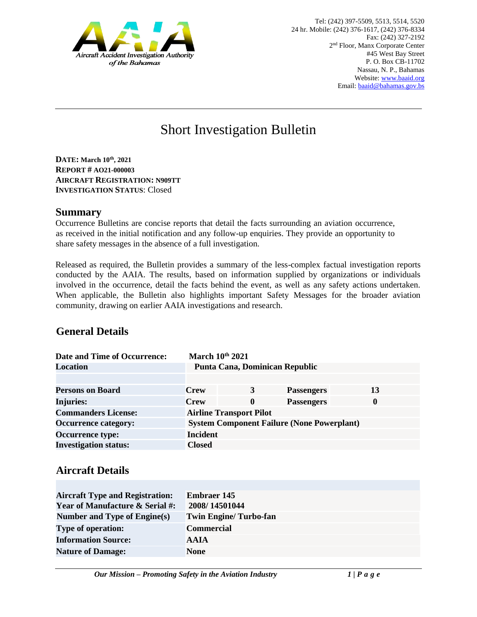

# Short Investigation Bulletin

**DATE: March 10th, 2021 REPORT # AO21-000003 AIRCRAFT REGISTRATION: N909TT INVESTIGATION STATUS**: Closed

#### **Summary**

Occurrence Bulletins are concise reports that detail the facts surrounding an aviation occurrence, as received in the initial notification and any follow-up enquiries. They provide an opportunity to share safety messages in the absence of a full investigation*.* 

Released as required, the Bulletin provides a summary of the less-complex factual investigation reports conducted by the AAIA. The results, based on information supplied by organizations or individuals involved in the occurrence, detail the facts behind the event, as well as any safety actions undertaken. When applicable, the Bulletin also highlights important Safety Messages for the broader aviation community, drawing on earlier AAIA investigations and research.

## **General Details**

| <b>Date and Time of Occurrence:</b> |                 | March 10th 2021                                   |                   |              |
|-------------------------------------|-----------------|---------------------------------------------------|-------------------|--------------|
| Location                            |                 | Punta Cana, Dominican Republic                    |                   |              |
|                                     |                 |                                                   |                   |              |
| <b>Persons on Board</b>             | <b>Crew</b>     | 3                                                 | <b>Passengers</b> | 13           |
| <b>Injuries:</b>                    | <b>Crew</b>     | 0                                                 | <b>Passengers</b> | $\mathbf{0}$ |
| <b>Commanders License:</b>          |                 | <b>Airline Transport Pilot</b>                    |                   |              |
| <b>Occurrence category:</b>         |                 | <b>System Component Failure (None Powerplant)</b> |                   |              |
| <b>Occurrence type:</b>             | <b>Incident</b> |                                                   |                   |              |
| <b>Investigation status:</b>        | <b>Closed</b>   |                                                   |                   |              |

## **Aircraft Details**

| <b>Aircraft Type and Registration:</b>     | <b>Embraer 145</b>           |
|--------------------------------------------|------------------------------|
| <b>Year of Manufacture &amp; Serial #:</b> | 2008/14501044                |
| Number and Type of Engine(s)               | <b>Twin Engine/Turbo-fan</b> |
| <b>Type of operation:</b>                  | <b>Commercial</b>            |
| <b>Information Source:</b>                 | <b>AAIA</b>                  |
| <b>Nature of Damage:</b>                   | <b>None</b>                  |